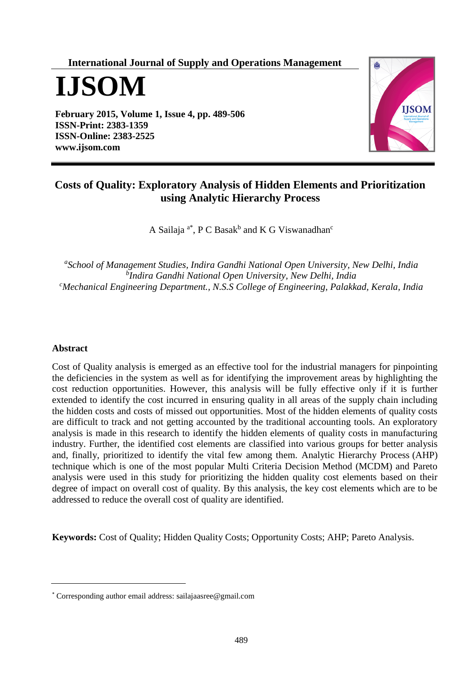**International Journal of Supply and Operations Management**

**IJSOM**

**February 2015, Volume 1, Issue 4, pp. 489-506 ISSN-Print: 2383-1359 ISSN-Online: 2383-2525 [www.ijsom.com](http://www.ijsom.com/)**



# **Costs of Quality: Exploratory Analysis of Hidden Elements and Prioritization using Analytic Hierarchy Process**

A Sailaja<sup>a\*</sup>, P C Basak<sup>b</sup> and K G Viswanadhan<sup>c</sup>

*a School of Management Studies, Indira Gandhi National Open University, New Delhi, India b Indira Gandhi National Open University, New Delhi, India <sup>c</sup>Mechanical Engineering Department., N.S.S College of Engineering, Palakkad, Kerala, India*

### **Abstract**

Cost of Quality analysis is emerged as an effective tool for the industrial managers for pinpointing the deficiencies in the system as well as for identifying the improvement areas by highlighting the cost reduction opportunities. However, this analysis will be fully effective only if it is further extended to identify the cost incurred in ensuring quality in all areas of the supply chain including the hidden costs and costs of missed out opportunities. Most of the hidden elements of quality costs are difficult to track and not getting accounted by the traditional accounting tools. An exploratory analysis is made in this research to identify the hidden elements of quality costs in manufacturing industry. Further, the identified cost elements are classified into various groups for better analysis and, finally, prioritized to identify the vital few among them. Analytic Hierarchy Process (AHP) technique which is one of the most popular Multi Criteria Decision Method (MCDM) and Pareto analysis were used in this study for prioritizing the hidden quality cost elements based on their degree of impact on overall cost of quality. By this analysis, the key cost elements which are to be addressed to reduce the overall cost of quality are identified.

**Keywords:** Cost of Quality; Hidden Quality Costs; Opportunity Costs; AHP; Pareto Analysis.

<sup>\*</sup> Corresponding author email address: sailajaasree@gmail.com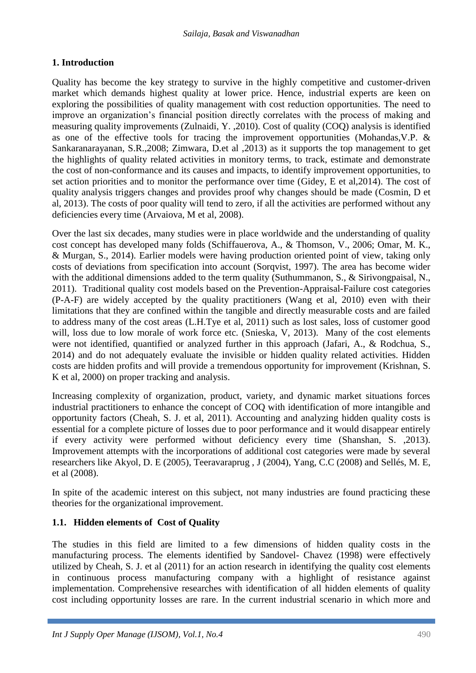# **1. Introduction**

Quality has become the key strategy to survive in the highly competitive and customer-driven market which demands highest quality at lower price. Hence, industrial experts are keen on exploring the possibilities of quality management with cost reduction opportunities. The need to improve an organization's financial position directly correlates with the process of making and measuring quality improvements (Zulnaidi, Y. ,2010). Cost of quality (COQ) analysis is identified as one of the effective tools for tracing the improvement opportunities (Mohandas,V.P. & Sankaranarayanan, S.R.,2008; Zimwara, D.et al ,2013) as it supports the top management to get the highlights of quality related activities in monitory terms, to track, estimate and demonstrate the cost of non-conformance and its causes and impacts, to identify improvement opportunities, to set action priorities and to monitor the performance over time (Gidey, E et al,2014). The cost of quality analysis triggers changes and provides proof why changes should be made (Cosmin, D et al, 2013). The costs of poor quality will tend to zero, if all the activities are performed without any deficiencies every time (Arvaiova, M et al, 2008).

Over the last six decades, many studies were in place worldwide and the understanding of quality cost concept has developed many folds (Schiffauerova, A., & Thomson, V., 2006; Omar, M. K., & Murgan, S., 2014). Earlier models were having production oriented point of view, taking only costs of deviations from specification into account (Sorqvist, 1997). The area has become wider with the additional dimensions added to the term quality (Suthummanon, S., & Sirivongpaisal, N., 2011). Traditional quality cost models based on the Prevention-Appraisal-Failure cost categories (P-A-F) are widely accepted by the quality practitioners (Wang et al, 2010) even with their limitations that they are confined within the tangible and directly measurable costs and are failed to address many of the cost areas (L.H.Tye et al, 2011) such as lost sales, loss of customer good will, loss due to low morale of work force etc. (Snieska, V, 2013). Many of the cost elements were not identified, quantified or analyzed further in this approach (Jafari, A., & Rodchua, S., 2014) and do not adequately evaluate the invisible or hidden quality related activities. Hidden costs are hidden profits and will provide a tremendous opportunity for improvement (Krishnan, S. K et al, 2000) on proper tracking and analysis.

Increasing complexity of organization, product, variety, and dynamic market situations forces industrial practitioners to enhance the concept of COQ with identification of more intangible and opportunity factors (Cheah, S. J. et al, 2011). Accounting and analyzing hidden quality costs is essential for a complete picture of losses due to poor performance and it would disappear entirely if every activity were performed without deficiency every time (Shanshan, S. ,2013). Improvement attempts with the incorporations of additional cost categories were made by several researchers like Akyol, D. E (2005), Teeravaraprug , J (2004), Yang, C.C (2008) and Sellés, M. E, et al (2008).

In spite of the academic interest on this subject, not many industries are found practicing these theories for the organizational improvement.

# **1.1. Hidden elements of Cost of Quality**

The studies in this field are limited to a few dimensions of hidden quality costs in the manufacturing process. The elements identified by Sandovel- Chavez (1998) were effectively utilized by Cheah, S. J. et al (2011) for an action research in identifying the quality cost elements in continuous process manufacturing company with a highlight of resistance against implementation. Comprehensive researches with identification of all hidden elements of quality cost including opportunity losses are rare. In the current industrial scenario in which more and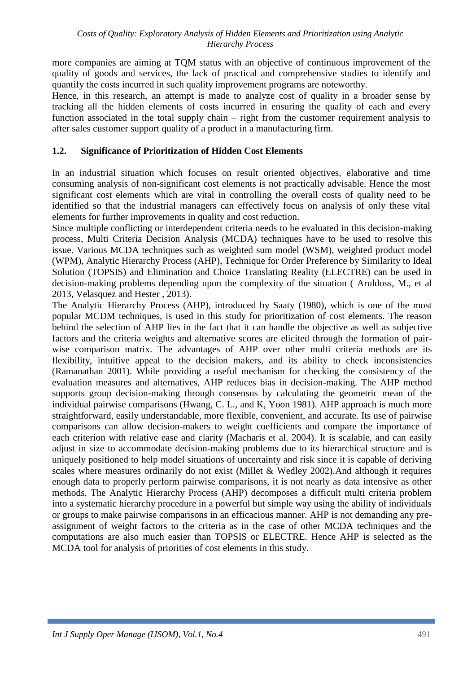more companies are aiming at TQM status with an objective of continuous improvement of the quality of goods and services, the lack of practical and comprehensive studies to identify and quantify the costs incurred in such quality improvement programs are noteworthy.

Hence, in this research, an attempt is made to analyze cost of quality in a broader sense by tracking all the hidden elements of costs incurred in ensuring the quality of each and every function associated in the total supply chain – right from the customer requirement analysis to after sales customer support quality of a product in a manufacturing firm.

### **1.2. Significance of Prioritization of Hidden Cost Elements**

In an industrial situation which focuses on result oriented objectives, elaborative and time consuming analysis of non-significant cost elements is not practically advisable. Hence the most significant cost elements which are vital in controlling the overall costs of quality need to be identified so that the industrial managers can effectively focus on analysis of only these vital elements for further improvements in quality and cost reduction.

Since multiple conflicting or interdependent criteria needs to be evaluated in this decision-making process, Multi Criteria Decision Analysis (MCDA) techniques have to be used to resolve this issue. Various MCDA techniques such as weighted sum model (WSM), weighted product model (WPM), Analytic Hierarchy Process (AHP), Technique for Order Preference by Similarity to Ideal Solution (TOPSIS) and Elimination and Choice Translating Reality (ELECTRE) can be used in decision-making problems depending upon the complexity of the situation ( Aruldoss, M., et al 2013, Velasquez and Hester , 2013).

The Analytic Hierarchy Process (AHP), introduced by Saaty (1980), which is one of the most popular MCDM techniques, is used in this study for prioritization of cost elements. The reason behind the selection of AHP lies in the fact that it can handle the objective as well as subjective factors and the criteria weights and alternative scores are elicited through the formation of pairwise comparison matrix. The advantages of AHP over other multi criteria methods are its flexibility, intuitive appeal to the decision makers, and its ability to check inconsistencies (Ramanathan 2001). While providing a useful mechanism for checking the consistency of the evaluation measures and alternatives, AHP reduces bias in decision-making. The AHP method supports group decision-making through consensus by calculating the geometric mean of the individual pairwise comparisons (Hwang, C. L., and K, Yoon 1981). AHP approach is much more straightforward, easily understandable, more flexible, convenient, and accurate. Its use of pairwise comparisons can allow decision-makers to weight coefficients and compare the importance of each criterion with relative ease and clarity (Macharis et al. 2004). It is scalable, and can easily adjust in size to accommodate decision-making problems due to its hierarchical structure and is uniquely positioned to help model situations of uncertainty and risk since it is capable of deriving scales where measures ordinarily do not exist (Millet & Wedley 2002).And although it requires enough data to properly perform pairwise comparisons, it is not nearly as data intensive as other methods. The Analytic Hierarchy Process (AHP) decomposes a difficult multi criteria problem into a systematic hierarchy procedure in a powerful but simple way using the ability of individuals or groups to make pairwise comparisons in an efficacious manner. AHP is not demanding any preassignment of weight factors to the criteria as in the case of other MCDA techniques and the computations are also much easier than TOPSIS or ELECTRE. Hence AHP is selected as the MCDA tool for analysis of priorities of cost elements in this study.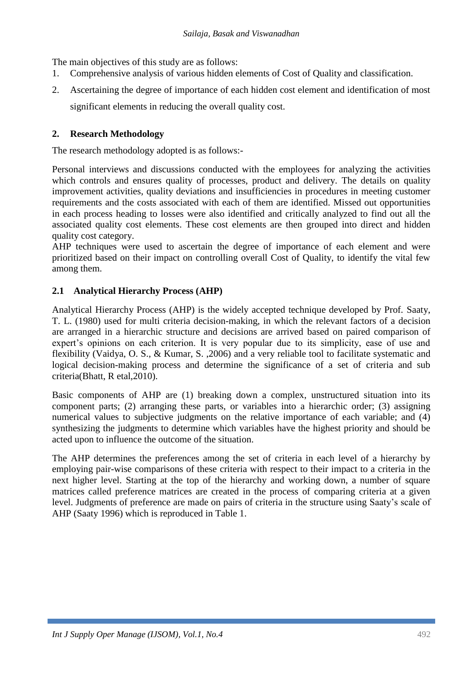The main objectives of this study are as follows:

- 1. Comprehensive analysis of various hidden elements of Cost of Quality and classification.
- 2. Ascertaining the degree of importance of each hidden cost element and identification of most significant elements in reducing the overall quality cost.

## **2. Research Methodology**

The research methodology adopted is as follows:-

Personal interviews and discussions conducted with the employees for analyzing the activities which controls and ensures quality of processes, product and delivery. The details on quality improvement activities, quality deviations and insufficiencies in procedures in meeting customer requirements and the costs associated with each of them are identified. Missed out opportunities in each process heading to losses were also identified and critically analyzed to find out all the associated quality cost elements. These cost elements are then grouped into direct and hidden quality cost category.

AHP techniques were used to ascertain the degree of importance of each element and were prioritized based on their impact on controlling overall Cost of Quality, to identify the vital few among them.

### **2.1 Analytical Hierarchy Process (AHP)**

Analytical Hierarchy Process (AHP) is the widely accepted technique developed by Prof. Saaty, T. L. (1980) used for multi criteria decision-making, in which the relevant factors of a decision are arranged in a hierarchic structure and decisions are arrived based on paired comparison of expert's opinions on each criterion. It is very popular due to its simplicity, ease of use and flexibility (Vaidya, O. S., & Kumar, S. ,2006) and a very reliable tool to facilitate systematic and logical decision-making process and determine the significance of a set of criteria and sub criteria(Bhatt, R etal,2010).

Basic components of AHP are (1) breaking down a complex, unstructured situation into its component parts; (2) arranging these parts, or variables into a hierarchic order; (3) assigning numerical values to subjective judgments on the relative importance of each variable; and (4) synthesizing the judgments to determine which variables have the highest priority and should be acted upon to influence the outcome of the situation.

The AHP determines the preferences among the set of criteria in each level of a hierarchy by employing pair-wise comparisons of these criteria with respect to their impact to a criteria in the next higher level. Starting at the top of the hierarchy and working down, a number of square matrices called preference matrices are created in the process of comparing criteria at a given level. Judgments of preference are made on pairs of criteria in the structure using Saaty's scale of AHP (Saaty 1996) which is reproduced in Table 1.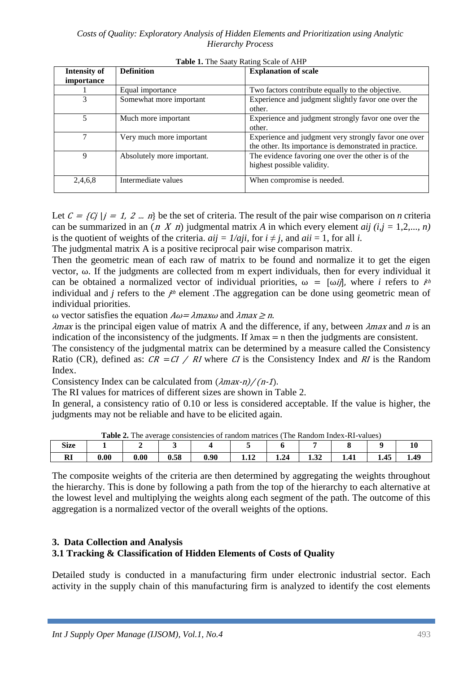| <b>Intensity of</b> | <b>Definition</b>          | <b>Explanation of scale</b>                            |
|---------------------|----------------------------|--------------------------------------------------------|
| <i>importance</i>   |                            |                                                        |
|                     | Equal importance           | Two factors contribute equally to the objective.       |
| 3                   | Somewhat more important    | Experience and judgment slightly favor one over the    |
|                     |                            | other.                                                 |
| 5                   | Much more important        | Experience and judgment strongly favor one over the    |
|                     |                            | other.                                                 |
|                     | Very much more important   | Experience and judgment very strongly favor one over   |
|                     |                            | the other. Its importance is demonstrated in practice. |
| 9                   | Absolutely more important. | The evidence favoring one over the other is of the     |
|                     |                            | highest possible validity.                             |
|                     |                            |                                                        |
| 2,4,6,8             | Intermediate values        | When compromise is needed.                             |
|                     |                            |                                                        |

**Table 1.** The Saaty Rating Scale of AHP

Let  $C = \{C_j | j = 1, 2 ... n\}$  be the set of criteria. The result of the pair wise comparison on *n* criteria can be summarized in an  $(n \ X \ n)$  judgmental matrix A in which every element *aij*  $(i, j = 1, 2, ..., n)$ is the quotient of weights of the criteria.  $aij = 1/aji$ , for  $i \neq j$ , and  $aii = 1$ , for all *i*.

The judgmental matrix A is a positive reciprocal pair wise comparison matrix.

Then the geometric mean of each raw of matrix to be found and normalize it to get the eigen vector, ω. If the judgments are collected from m expert individuals, then for every individual it can be obtained a normalized vector of individual priorities,  $\omega = [\omega i]$ , where *i* refers to  $i^{th}$ individual and *j* refers to the *j*<sup>th</sup> element. The aggregation can be done using geometric mean of individual priorities.

ω vector satisfies the equation  $Aω = \lambda maxω$  and  $\lambda max \ge n$ .

 $\lambda$ max is the principal eigen value of matrix A and the difference, if any, between  $\lambda$ max and n is an indication of the inconsistency of the judgments. If  $\lambda$ max = n then the judgments are consistent.

The consistency of the judgmental matrix can be determined by a measure called the Consistency Ratio (CR), defined as:  $CR = CI / RI$  where CI is the Consistency Index and RI is the Random Index.

Consistency Index can be calculated from  $(\lambda max-n)/(n-1)$ .

The RI values for matrices of different sizes are shown in Table 2.

In general, a consistency ratio of 0.10 or less is considered acceptable. If the value is higher, the judgments may not be reliable and have to be elicited again.

|             | <b>Table 2.</b> The average consistencies of random matrices (<br>The Kandom muex-KI-values) |      |      |      |      |      |                  |  |      |    |  |  |  |
|-------------|----------------------------------------------------------------------------------------------|------|------|------|------|------|------------------|--|------|----|--|--|--|
| <b>Size</b> |                                                                                              |      |      |      |      |      |                  |  |      |    |  |  |  |
| w           | $\boldsymbol{0.00}$                                                                          | 0.00 | 0.58 | 0.90 | 1.12 | 1.24 | $\Delta$<br>1.JZ |  | 1.45 | 49 |  |  |  |

**Table 2.** The average consistencies of random matrices (The Random Index-RI-values)

The composite weights of the criteria are then determined by aggregating the weights throughout the hierarchy. This is done by following a path from the top of the hierarchy to each alternative at the lowest level and multiplying the weights along each segment of the path. The outcome of this aggregation is a normalized vector of the overall weights of the options.

### **3. Data Collection and Analysis 3.1 Tracking & Classification of Hidden Elements of Costs of Quality**

Detailed study is conducted in a manufacturing firm under electronic industrial sector. Each activity in the supply chain of this manufacturing firm is analyzed to identify the cost elements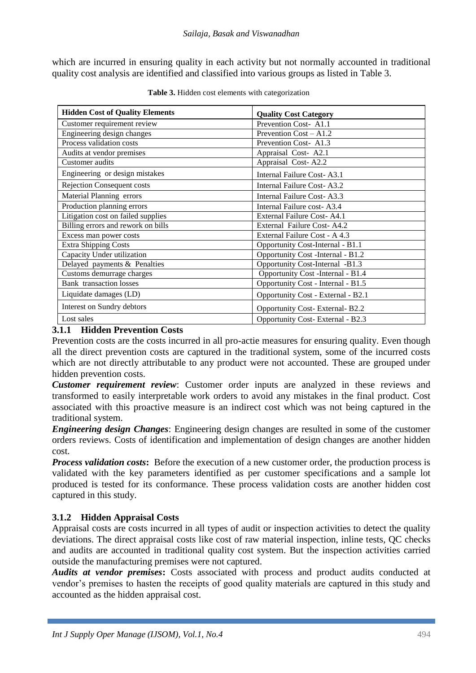which are incurred in ensuring quality in each activity but not normally accounted in traditional quality cost analysis are identified and classified into various groups as listed in Table 3.

| <b>Hidden Cost of Quality Elements</b> | <b>Quality Cost Category</b>       |
|----------------------------------------|------------------------------------|
| Customer requirement review            | Prevention Cost-A1.1               |
| Engineering design changes             | Prevention Cost - A1.2             |
| Process validation costs               | Prevention Cost-A1.3               |
| Audits at vendor premises              | Appraisal Cost-A2.1                |
| Customer audits                        | Appraisal Cost-A2.2                |
| Engineering or design mistakes         | Internal Failure Cost-A3.1         |
| <b>Rejection Consequent costs</b>      | Internal Failure Cost-A3.2         |
| Material Planning errors               | Internal Failure Cost-A3.3         |
| Production planning errors             | Internal Failure cost-A3.4         |
| Litigation cost on failed supplies     | External Failure Cost-A4.1         |
| Billing errors and rework on bills     | External Failure Cost-A4.2         |
| Excess man power costs                 | External Failure Cost - A 4.3      |
| <b>Extra Shipping Costs</b>            | Opportunity Cost-Internal - B1.1   |
| Capacity Under utilization             | Opportunity Cost -Internal - B1.2  |
| Delayed payments & Penalties           | Opportunity Cost-Internal -B1.3    |
| Customs demurrage charges              | Opportunity Cost -Internal - B1.4  |
| <b>Bank</b> transaction losses         | Opportunity Cost - Internal - B1.5 |
| Liquidate damages (LD)                 | Opportunity Cost - External - B2.1 |
| Interest on Sundry debtors             | Opportunity Cost-External-B2.2     |
| Lost sales                             | Opportunity Cost-External - B2.3   |

**Table 3.** Hidden cost elements with categorization

### **3.1.1 Hidden Prevention Costs**

Prevention costs are the costs incurred in all pro-actie measures for ensuring quality. Even though all the direct prevention costs are captured in the traditional system, some of the incurred costs which are not directly attributable to any product were not accounted. These are grouped under hidden prevention costs.

*Customer requirement review*: Customer order inputs are analyzed in these reviews and transformed to easily interpretable work orders to avoid any mistakes in the final product. Cost associated with this proactive measure is an indirect cost which was not being captured in the traditional system.

*Engineering design Changes*: Engineering design changes are resulted in some of the customer orders reviews. Costs of identification and implementation of design changes are another hidden cost.

*Process validation costs*: Before the execution of a new customer order, the production process is validated with the key parameters identified as per customer specifications and a sample lot produced is tested for its conformance. These process validation costs are another hidden cost captured in this study.

# **3.1.2 Hidden Appraisal Costs**

Appraisal costs are costs incurred in all types of audit or inspection activities to detect the quality deviations. The direct appraisal costs like cost of raw material inspection, inline tests, QC checks and audits are accounted in traditional quality cost system. But the inspection activities carried outside the manufacturing premises were not captured.

*Audits at vendor premises***:** Costs associated with process and product audits conducted at vendor's premises to hasten the receipts of good quality materials are captured in this study and accounted as the hidden appraisal cost.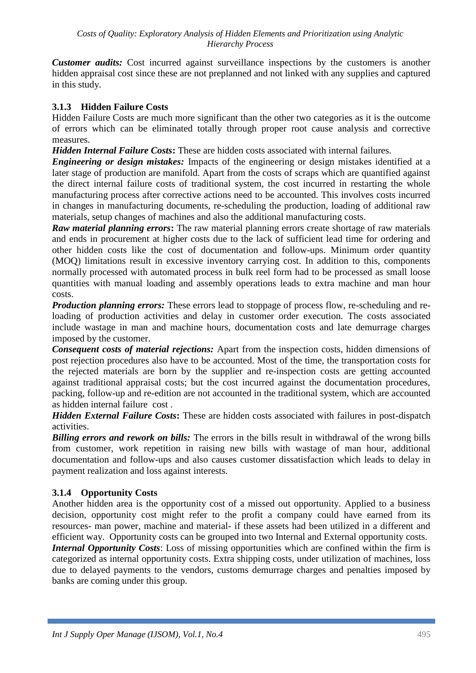*Customer audits:* Cost incurred against surveillance inspections by the customers is another hidden appraisal cost since these are not preplanned and not linked with any supplies and captured in this study.

### **3.1.3 Hidden Failure Costs**

Hidden Failure Costs are much more significant than the other two categories as it is the outcome of errors which can be eliminated totally through proper root cause analysis and corrective measures.

*Hidden Internal Failure Costs***:** These are hidden costs associated with internal failures.

*Engineering or design mistakes:* Impacts of the engineering or design mistakes identified at a later stage of production are manifold. Apart from the costs of scraps which are quantified against the direct internal failure costs of traditional system, the cost incurred in restarting the whole manufacturing process after corrective actions need to be accounted. This involves costs incurred in changes in manufacturing documents, re-scheduling the production, loading of additional raw materials, setup changes of machines and also the additional manufacturing costs.

*Raw material planning errors***:** The raw material planning errors create shortage of raw materials and ends in procurement at higher costs due to the lack of sufficient lead time for ordering and other hidden costs like the cost of documentation and follow-ups. Minimum order quantity (MOQ) limitations result in excessive inventory carrying cost. In addition to this, components normally processed with automated process in bulk reel form had to be processed as small loose quantities with manual loading and assembly operations leads to extra machine and man hour costs.

*Production planning errors:* These errors lead to stoppage of process flow, re-scheduling and reloading of production activities and delay in customer order execution. The costs associated include wastage in man and machine hours, documentation costs and late demurrage charges imposed by the customer.

*Consequent costs of material rejections:* Apart from the inspection costs, hidden dimensions of post rejection procedures also have to be accounted. Most of the time, the transportation costs for the rejected materials are born by the supplier and re-inspection costs are getting accounted against traditional appraisal costs; but the cost incurred against the documentation procedures, packing, follow-up and re-edition are not accounted in the traditional system, which are accounted as hidden internal failure cost .

*Hidden External Failure Costs***:** These are hidden costs associated with failures in post-dispatch activities.

*Billing errors and rework on bills:* The errors in the bills result in withdrawal of the wrong bills from customer, work repetition in raising new bills with wastage of man hour, additional documentation and follow-ups and also causes customer dissatisfaction which leads to delay in payment realization and loss against interests.

# **3.1.4 Opportunity Costs**

Another hidden area is the opportunity cost of a missed out opportunity. Applied to a business decision, opportunity cost might refer to the profit a company could have earned from its resources- man power, machine and material- if these assets had been utilized in a different and efficient way. Opportunity costs can be grouped into two Internal and External opportunity costs.

*Internal Opportunity Costs*: Loss of missing opportunities which are confined within the firm is categorized as internal opportunity costs. Extra shipping costs, under utilization of machines, loss due to delayed payments to the vendors, customs demurrage charges and penalties imposed by banks are coming under this group.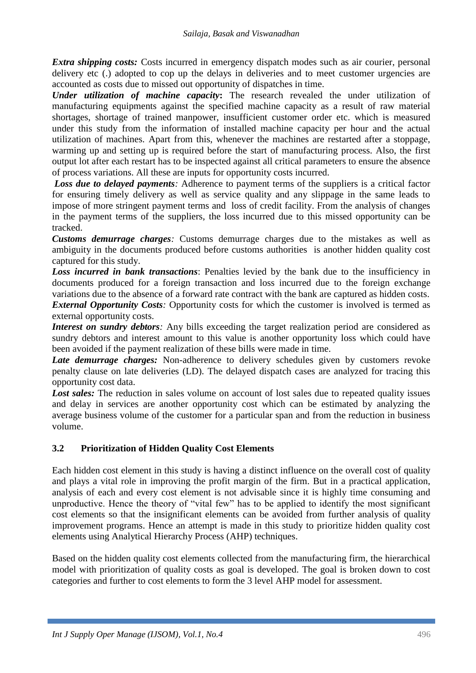*Extra shipping costs:* Costs incurred in emergency dispatch modes such as air courier, personal delivery etc (.) adopted to cop up the delays in deliveries and to meet customer urgencies are accounted as costs due to missed out opportunity of dispatches in time.

*Under utilization of machine capacity***:** The research revealed the under utilization of manufacturing equipments against the specified machine capacity as a result of raw material shortages, shortage of trained manpower, insufficient customer order etc. which is measured under this study from the information of installed machine capacity per hour and the actual utilization of machines. Apart from this, whenever the machines are restarted after a stoppage, warming up and setting up is required before the start of manufacturing process. Also, the first output lot after each restart has to be inspected against all critical parameters to ensure the absence of process variations. All these are inputs for opportunity costs incurred.

*Loss due to delayed payments*: Adherence to payment terms of the suppliers is a critical factor for ensuring timely delivery as well as service quality and any slippage in the same leads to impose of more stringent payment terms and loss of credit facility. From the analysis of changes in the payment terms of the suppliers, the loss incurred due to this missed opportunity can be tracked.

*Customs demurrage charges:* Customs demurrage charges due to the mistakes as well as ambiguity in the documents produced before customs authorities is another hidden quality cost captured for this study.

*Loss incurred in bank transactions*: Penalties levied by the bank due to the insufficiency in documents produced for a foreign transaction and loss incurred due to the foreign exchange variations due to the absence of a forward rate contract with the bank are captured as hidden costs. *External Opportunity Costs:* Opportunity costs for which the customer is involved is termed as external opportunity costs.

*Interest on sundry debtors*: Any bills exceeding the target realization period are considered as sundry debtors and interest amount to this value is another opportunity loss which could have been avoided if the payment realization of these bills were made in time.

*Late demurrage charges:* Non-adherence to delivery schedules given by customers revoke penalty clause on late deliveries (LD). The delayed dispatch cases are analyzed for tracing this opportunity cost data.

Lost sales: The reduction in sales volume on account of lost sales due to repeated quality issues and delay in services are another opportunity cost which can be estimated by analyzing the average business volume of the customer for a particular span and from the reduction in business volume.

# **3.2 Prioritization of Hidden Quality Cost Elements**

Each hidden cost element in this study is having a distinct influence on the overall cost of quality and plays a vital role in improving the profit margin of the firm. But in a practical application, analysis of each and every cost element is not advisable since it is highly time consuming and unproductive. Hence the theory of "vital few" has to be applied to identify the most significant cost elements so that the insignificant elements can be avoided from further analysis of quality improvement programs. Hence an attempt is made in this study to prioritize hidden quality cost elements using Analytical Hierarchy Process (AHP) techniques.

Based on the hidden quality cost elements collected from the manufacturing firm, the hierarchical model with prioritization of quality costs as goal is developed. The goal is broken down to cost categories and further to cost elements to form the 3 level AHP model for assessment.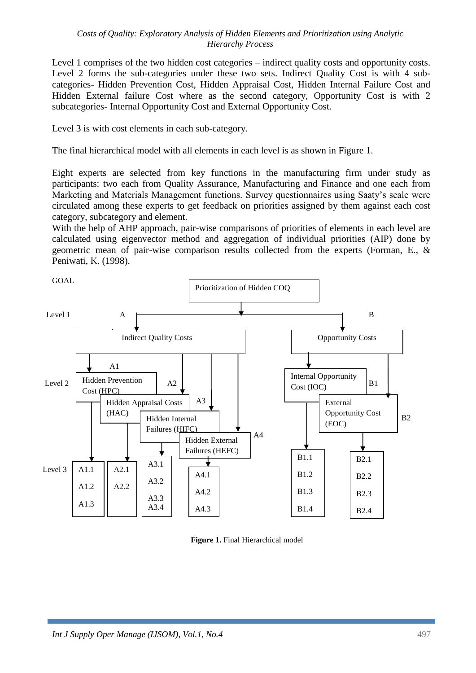Level 1 comprises of the two hidden cost categories – indirect quality costs and opportunity costs. Level 2 forms the sub-categories under these two sets. Indirect Quality Cost is with 4 subcategories- Hidden Prevention Cost, Hidden Appraisal Cost, Hidden Internal Failure Cost and Hidden External failure Cost where as the second category, Opportunity Cost is with 2 subcategories- Internal Opportunity Cost and External Opportunity Cost.

Level 3 is with cost elements in each sub-category.

The final hierarchical model with all elements in each level is as shown in Figure 1.

Eight experts are selected from key functions in the manufacturing firm under study as participants: two each from Quality Assurance, Manufacturing and Finance and one each from Marketing and Materials Management functions. Survey questionnaires using Saaty's scale were circulated among these experts to get feedback on priorities assigned by them against each cost category, subcategory and element.

With the help of AHP approach, pair-wise comparisons of priorities of elements in each level are calculated using eigenvector method and aggregation of individual priorities (AIP) done by geometric mean of pair-wise comparison results collected from the experts (Forman, E., & Peniwati, K. (1998).



**Figure 1.** Final Hierarchical model  $\mathbf{e}_1$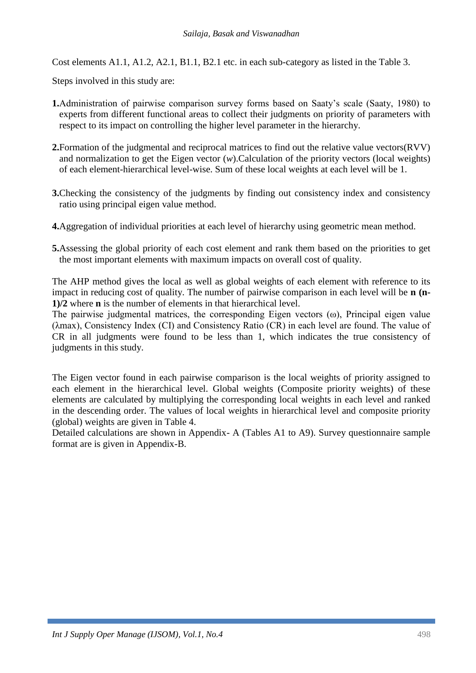Cost elements A1.1, A1.2, A2.1, B1.1, B2.1 etc. in each sub-category as listed in the Table 3.

Steps involved in this study are:

- **1.**Administration of pairwise comparison survey forms based on Saaty's scale (Saaty, 1980) to experts from different functional areas to collect their judgments on priority of parameters with respect to its impact on controlling the higher level parameter in the hierarchy.
- **2.**Formation of the judgmental and reciprocal matrices to find out the relative value vectors(RVV) and normalization to get the Eigen vector (*w*).Calculation of the priority vectors (local weights) of each element-hierarchical level-wise. Sum of these local weights at each level will be 1.
- **3.**Checking the consistency of the judgments by finding out consistency index and consistency ratio using principal eigen value method.
- **4.**Aggregation of individual priorities at each level of hierarchy using geometric mean method.
- **5.**Assessing the global priority of each cost element and rank them based on the priorities to get the most important elements with maximum impacts on overall cost of quality.

The AHP method gives the local as well as global weights of each element with reference to its impact in reducing cost of quality. The number of pairwise comparison in each level will be **n (n-1)/2** where **n** is the number of elements in that hierarchical level.

The pairwise judgmental matrices, the corresponding Eigen vectors (ω), Principal eigen value (λmax), Consistency Index (CI) and Consistency Ratio (CR) in each level are found. The value of CR in all judgments were found to be less than 1, which indicates the true consistency of judgments in this study.

The Eigen vector found in each pairwise comparison is the local weights of priority assigned to each element in the hierarchical level. Global weights (Composite priority weights) of these elements are calculated by multiplying the corresponding local weights in each level and ranked in the descending order. The values of local weights in hierarchical level and composite priority (global) weights are given in Table 4.

Detailed calculations are shown in Appendix- A (Tables A1 to A9). Survey questionnaire sample format are is given in Appendix-B.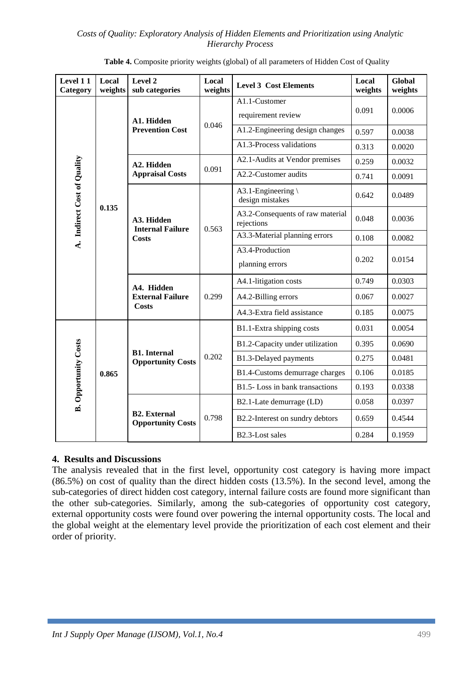| Level 11<br>Category                 | Local<br>weights | Level 2<br>sub categories                       | Local<br>weights | <b>Level 3 Cost Elements</b>                   | Local<br>weights | <b>Global</b><br>weights |
|--------------------------------------|------------------|-------------------------------------------------|------------------|------------------------------------------------|------------------|--------------------------|
|                                      |                  | A1. Hidden                                      |                  | A1.1-Customer<br>requirement review            | 0.091            | 0.0006                   |
|                                      |                  | <b>Prevention Cost</b>                          | 0.046            | A1.2-Engineering design changes                | 0.597            | 0.0038                   |
|                                      |                  |                                                 |                  | A1.3-Process validations                       | 0.313            | 0.0020                   |
|                                      |                  | A2. Hidden                                      | 0.091            | A2.1-Audits at Vendor premises                 | 0.259            | 0.0032                   |
|                                      |                  | <b>Appraisal Costs</b>                          |                  | A2.2-Customer audits                           | 0.741            | 0.0091                   |
|                                      |                  |                                                 |                  | A3.1-Engineering<br>design mistakes            | 0.642            | 0.0489                   |
| A. Indirect Cost of Quality<br>0.135 |                  | A3. Hidden<br><b>Internal Failure</b>           | 0.563            | A3.2-Consequents of raw material<br>rejections | 0.048            | 0.0036                   |
|                                      |                  | <b>Costs</b>                                    |                  | A3.3-Material planning errors                  | 0.108            | 0.0082                   |
|                                      |                  |                                                 |                  | A3.4-Production<br>planning errors             | 0.202            | 0.0154                   |
|                                      |                  | A4. Hidden<br><b>External Failure</b>           | 0.299            | A4.1-litigation costs                          | 0.749            | 0.0303                   |
|                                      |                  |                                                 |                  | A4.2-Billing errors                            | 0.067            | 0.0027                   |
|                                      |                  | <b>Costs</b>                                    |                  | A4.3-Extra field assistance                    | 0.185            | 0.0075                   |
|                                      |                  |                                                 |                  | B1.1-Extra shipping costs                      | 0.031            | 0.0054                   |
|                                      |                  |                                                 |                  | B1.2-Capacity under utilization                | 0.395            | 0.0690                   |
|                                      |                  | <b>B1.</b> Internal<br><b>Opportunity Costs</b> | 0.202            | B1.3-Delayed payments                          | 0.275            | 0.0481                   |
|                                      | 0.865            |                                                 |                  | B1.4-Customs demurrage charges                 | 0.106            | 0.0185                   |
| <b>B.</b> Opportunity Costs          |                  |                                                 |                  | B1.5-Loss in bank transactions                 | 0.193            | 0.0338                   |
|                                      |                  | <b>B2.</b> External<br><b>Opportunity Costs</b> |                  | B2.1-Late demurrage (LD)                       | 0.058            | 0.0397                   |
|                                      |                  |                                                 | 0.798            | B2.2-Interest on sundry debtors                | 0.659            | 0.4544                   |
|                                      |                  |                                                 | B2.3-Lost sales  | 0.284                                          | 0.1959           |                          |

|  | Table 4. Composite priority weights (global) of all parameters of Hidden Cost of Quality |  |
|--|------------------------------------------------------------------------------------------|--|
|  |                                                                                          |  |

### **4. Results and Discussions**

The analysis revealed that in the first level, opportunity cost category is having more impact (86.5%) on cost of quality than the direct hidden costs (13.5%). In the second level, among the sub-categories of direct hidden cost category, internal failure costs are found more significant than the other sub-categories. Similarly, among the sub-categories of opportunity cost category, external opportunity costs were found over powering the internal opportunity costs. The local and the global weight at the elementary level provide the prioritization of each cost element and their order of priority.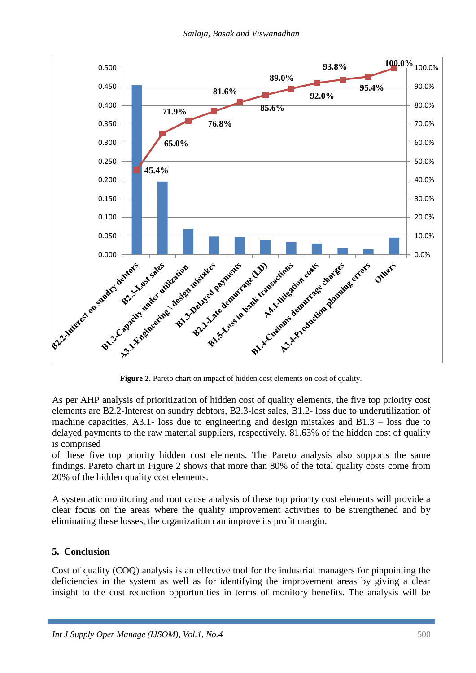

As per AHP analysis of prioritization of hidden cost of quality elements, the five top priority cost elements are B2.2-Interest on sundry debtors, B2.3-lost sales, B1.2- loss due to underutilization of machine capacities, A3.1- loss due to engineering and design mistakes and B1.3 – loss due to delayed payments to the raw material suppliers, respectively. 81.63% of the hidden cost of quality is comprised

of these five top priority hidden cost elements. The Pareto analysis also supports the same findings. Pareto chart in Figure 2 shows that more than 80% of the total quality costs come from 20% of the hidden quality cost elements.

A systematic monitoring and root cause analysis of these top priority cost elements will provide a clear focus on the areas where the quality improvement activities to be strengthened and by eliminating these losses, the organization can improve its profit margin.

### **5. Conclusion**

Cost of quality (COQ) analysis is an effective tool for the industrial managers for pinpointing the deficiencies in the system as well as for identifying the improvement areas by giving a clear insight to the cost reduction opportunities in terms of monitory benefits. The analysis will be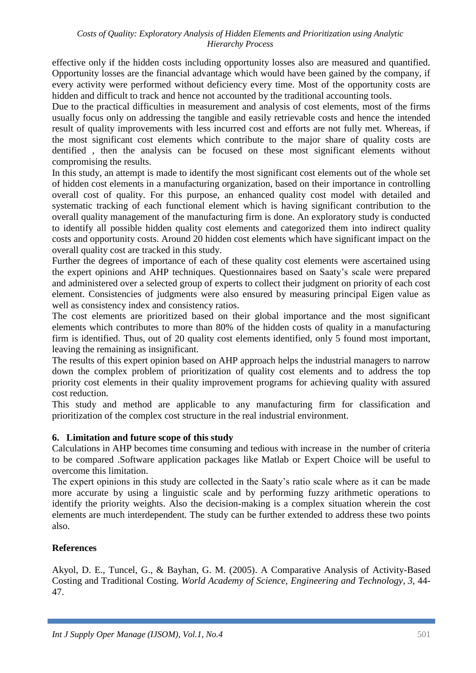effective only if the hidden costs including opportunity losses also are measured and quantified. Opportunity losses are the financial advantage which would have been gained by the company, if every activity were performed without deficiency every time. Most of the opportunity costs are hidden and difficult to track and hence not accounted by the traditional accounting tools.

Due to the practical difficulties in measurement and analysis of cost elements, most of the firms usually focus only on addressing the tangible and easily retrievable costs and hence the intended result of quality improvements with less incurred cost and efforts are not fully met. Whereas, if the most significant cost elements which contribute to the major share of quality costs are dentified , then the analysis can be focused on these most significant elements without compromising the results.

In this study, an attempt is made to identify the most significant cost elements out of the whole set of hidden cost elements in a manufacturing organization, based on their importance in controlling overall cost of quality. For this purpose, an enhanced quality cost model with detailed and systematic tracking of each functional element which is having significant contribution to the overall quality management of the manufacturing firm is done. An exploratory study is conducted to identify all possible hidden quality cost elements and categorized them into indirect quality costs and opportunity costs. Around 20 hidden cost elements which have significant impact on the overall quality cost are tracked in this study.

Further the degrees of importance of each of these quality cost elements were ascertained using the expert opinions and AHP techniques. Questionnaires based on Saaty's scale were prepared and administered over a selected group of experts to collect their judgment on priority of each cost element. Consistencies of judgments were also ensured by measuring principal Eigen value as well as consistency index and consistency ratios.

The cost elements are prioritized based on their global importance and the most significant elements which contributes to more than 80% of the hidden costs of quality in a manufacturing firm is identified. Thus, out of 20 quality cost elements identified, only 5 found most important, leaving the remaining as insignificant.

The results of this expert opinion based on AHP approach helps the industrial managers to narrow down the complex problem of prioritization of quality cost elements and to address the top priority cost elements in their quality improvement programs for achieving quality with assured cost reduction.

This study and method are applicable to any manufacturing firm for classification and prioritization of the complex cost structure in the real industrial environment.

### **6. Limitation and future scope of this study**

Calculations in AHP becomes time consuming and tedious with increase in the number of criteria to be compared .Software application packages like Matlab or Expert Choice will be useful to overcome this limitation.

The expert opinions in this study are collected in the Saaty's ratio scale where as it can be made more accurate by using a linguistic scale and by performing fuzzy arithmetic operations to identify the priority weights. Also the decision-making is a complex situation wherein the cost elements are much interdependent. The study can be further extended to address these two points also.

### **References**

Akyol, D. E., Tuncel, G., & Bayhan, G. M. (2005). A Comparative Analysis of Activity-Based Costing and Traditional Costing. *World Academy of Science, Engineering and Technology*, *3*, 44- 47.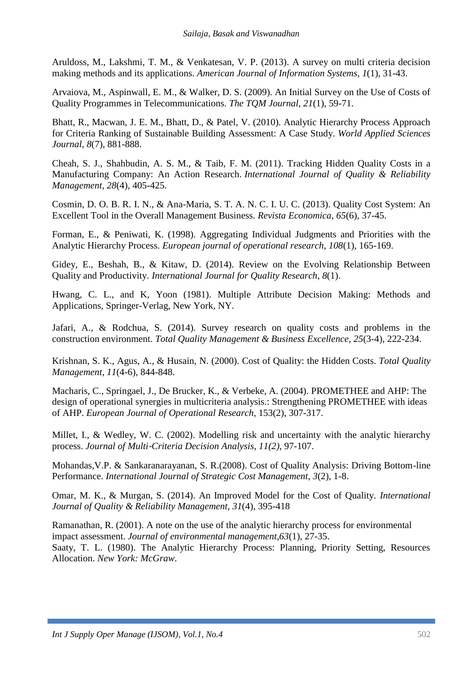Aruldoss, M., Lakshmi, T. M., & Venkatesan, V. P. (2013). A survey on multi criteria decision making methods and its applications. *American Journal of Information Systems*, *1*(1), 31-43.

Arvaiova, M., Aspinwall, E. M., & Walker, D. S. (2009). An Initial Survey on the Use of Costs of Quality Programmes in Telecommunications. *The TQM Journal*, *21*(1), 59-71.

Bhatt, R., Macwan, J. E. M., Bhatt, D., & Patel, V. (2010). Analytic Hierarchy Process Approach for Criteria Ranking of Sustainable Building Assessment: A Case Study. *World Applied Sciences Journal*, *8*(7), 881-888.

Cheah, S. J., Shahbudin, A. S. M., & Taib, F. M. (2011). Tracking Hidden Quality Costs in a Manufacturing Company: An Action Research. *International Journal of Quality & Reliability Management*, *28*(4), 405-425.

Cosmin, D. O. B. R. I. N., & Ana-Maria, S. T. A. N. C. I. U. C. (2013). Quality Cost System: An Excellent Tool in the Overall Management Business. *Revista Economica*, *65*(6), 37-45.

Forman, E., & Peniwati, K. (1998). Aggregating Individual Judgments and Priorities with the Analytic Hierarchy Process. *European journal of operational research*, *108*(1), 165-169.

Gidey, E., Beshah, B., & Kitaw, D. (2014). Review on the Evolving Relationship Between Quality and Productivity. *International Journal for Quality Research*, *8*(1).

Hwang, C. L., and K, Yoon (1981). Multiple Attribute Decision Making: Methods and Applications, Springer-Verlag, New York, NY.

Jafari, A., & Rodchua, S. (2014). Survey research on quality costs and problems in the construction environment. *Total Quality Management & Business Excellence*, *25*(3-4), 222-234.

Krishnan, S. K., Agus, A., & Husain, N. (2000). Cost of Quality: the Hidden Costs. *Total Quality Management*, *11*(4-6), 844-848.

Macharis, C., Springael, J., De Brucker, K., & Verbeke, A. (2004). PROMETHEE and AHP: The design of operational synergies in multicriteria analysis.: Strengthening PROMETHEE with ideas of AHP. *European Journal of Operational Research*, 153(2), 307-317.

Millet, I., & Wedley, W. C. (2002). Modelling risk and uncertainty with the analytic hierarchy process. *Journal of Multi*‐*Criteria Decision Analysis*, *11(2),* 97-107.

Mohandas,V.P. & Sankaranarayanan, S. R.(2008). Cost of Quality Analysis: Driving Bottom-line Performance. *International Journal of Strategic Cost Management*, *3*(2), 1-8.

Omar, M. K., & Murgan, S. (2014). An Improved Model for the Cost of Quality. *International Journal of Quality & Reliability Management*, *31*(4), 395-418

Ramanathan, R. (2001). A note on the use of the analytic hierarchy process for environmental impact assessment. *Journal of environmental management*,*63*(1), 27-35. Saaty, T. L. (1980). The Analytic Hierarchy Process: Planning, Priority Setting, Resources Allocation. *New York: McGraw*.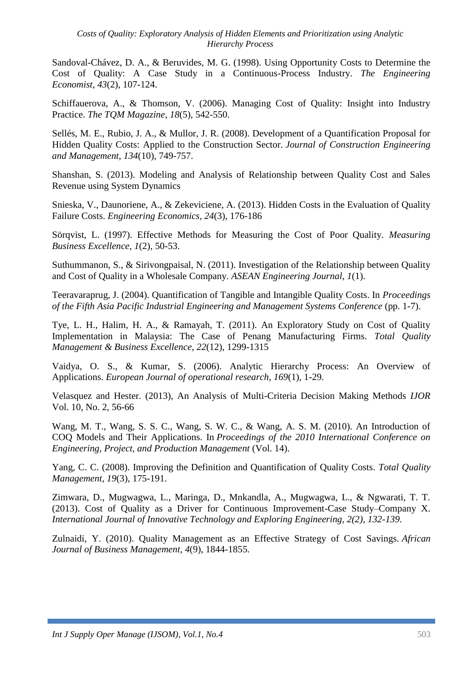Sandoval-Chávez, D. A., & Beruvides, M. G. (1998). Using Opportunity Costs to Determine the Cost of Quality: A Case Study in a Continuous-Process Industry. *The Engineering Economist*, *43*(2), 107-124.

Schiffauerova, A., & Thomson, V. (2006). Managing Cost of Quality: Insight into Industry Practice. *The TQM Magazine*, *18*(5), 542-550.

Sellés, M. E., Rubio, J. A., & Mullor, J. R. (2008). Development of a Quantification Proposal for Hidden Quality Costs: Applied to the Construction Sector. *Journal of Construction Engineering and Management*, *134*(10), 749-757.

Shanshan, S. (2013). Modeling and Analysis of Relationship between Quality Cost and Sales Revenue using System Dynamics

Snieska, V., Daunoriene, A., & Zekeviciene, A. (2013). Hidden Costs in the Evaluation of Quality Failure Costs. *Engineering Economics*, *24*(3), 176-186

Sörqvist, L. (1997). Effective Methods for Measuring the Cost of Poor Quality. *Measuring Business Excellence*, *1*(2), 50-53.

Suthummanon, S., & Sirivongpaisal, N. (2011). Investigation of the Relationship between Quality and Cost of Quality in a Wholesale Company. *ASEAN Engineering Journal*, *1*(1).

Teeravaraprug, J. (2004). Quantification of Tangible and Intangible Quality Costs. In *Proceedings of the Fifth Asia Pacific Industrial Engineering and Management Systems Conference* (pp. 1-7).

Tye, L. H., Halim, H. A., & Ramayah, T. (2011). An Exploratory Study on Cost of Quality Implementation in Malaysia: The Case of Penang Manufacturing Firms. *Total Quality Management & Business Excellence*, *22*(12), 1299-1315

Vaidya, O. S., & Kumar, S. (2006). Analytic Hierarchy Process: An Overview of Applications. *European Journal of operational research*, *169*(1), 1-29.

Velasquez and Hester. (2013), An Analysis of Multi-Criteria Decision Making Methods *IJOR* Vol. 10, No. 2, 56-66

Wang, M. T., Wang, S. S. C., Wang, S. W. C., & Wang, A. S. M. (2010). An Introduction of COQ Models and Their Applications. In *Proceedings of the 2010 International Conference on Engineering, Project, and Production Management* (Vol. 14).

Yang, C. C. (2008). Improving the Definition and Quantification of Quality Costs. *Total Quality Management*, *19*(3), 175-191.

Zimwara, D., Mugwagwa, L., Maringa, D., Mnkandla, A., Mugwagwa, L., & Ngwarati, T. T. (2013). Cost of Quality as a Driver for Continuous Improvement-Case Study–Company X. *International Journal of Innovative Technology and Exploring Engineering, 2(2), 132-139.*

Zulnaidi, Y. (2010). Quality Management as an Effective Strategy of Cost Savings. *African Journal of Business Management*, *4*(9), 1844-1855.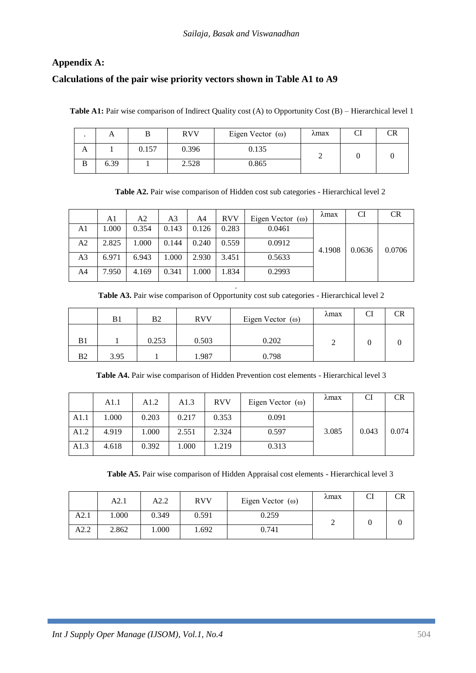### **Appendix A:**

### **Calculations of the pair wise priority vectors shown in Table A1 to A9**

Table A1: Pair wise comparison of Indirect Quality cost (A) to Opportunity Cost (B) – Hierarchical level 1

|   | TΣ   |       | <b>RVV</b> | Eigen Vector $(\omega)$ | $\lambda$ max | CR |
|---|------|-------|------------|-------------------------|---------------|----|
| A |      | 0.157 | 0.396      | 0.135                   |               |    |
| B | 6.39 |       | 2.528      | 0.865                   |               |    |

**Table A2.** Pair wise comparison of Hidden cost sub categories - Hierarchical level 2

|                | A1    | A2    | A3    | A4    | <b>RVV</b> | Eigen Vector $(\omega)$ | $\lambda$ max | CI     | <b>CR</b> |
|----------------|-------|-------|-------|-------|------------|-------------------------|---------------|--------|-----------|
| A1             | 1.000 | 0.354 | 0.143 | 0.126 | 0.283      | 0.0461                  |               | 0.0636 | 0.0706    |
| A2             | 2.825 | 1.000 | 0.144 | 0.240 | 0.559      | 0.0912                  | 4.1908        |        |           |
| A <sub>3</sub> | 6.971 | 6.943 | 1.000 | 2.930 | 3.451      | 0.5633                  |               |        |           |
| A4             | 7.950 | 4.169 | 0.341 | 1.000 | 1.834      | 0.2993                  |               |        |           |

. **Table A3.** Pair wise comparison of Opportunity cost sub categories - Hierarchical level 2

|                | B1   | B2    | <b>RVV</b> | Eigen Vector $(\omega)$ | $\lambda$ max | <b>CI</b> | CR |
|----------------|------|-------|------------|-------------------------|---------------|-----------|----|
| B <sub>1</sub> |      | 0.253 | 0.503      | 0.202                   |               |           |    |
| B <sub>2</sub> | 3.95 |       | 1.987      | 0.798                   |               |           |    |

**Table A4.** Pair wise comparison of Hidden Prevention cost elements - Hierarchical level 3

|      | A1.1  | A1.2  | A1.3  | <b>RVV</b> | Eigen Vector $(\omega)$ | $\lambda$ max | CI    | <b>CR</b> |
|------|-------|-------|-------|------------|-------------------------|---------------|-------|-----------|
| A1.1 | 1.000 | 0.203 | 0.217 | 0.353      | 0.091                   |               |       |           |
| A1.2 | 4.919 | 1.000 | 2.551 | 2.324      | 0.597                   | 3.085         | 0.043 | 0.074     |
| A1.3 | 4.618 | 0.392 | 1.000 | 1.219      | 0.313                   |               |       |           |

**Table A5.** Pair wise comparison of Hidden Appraisal cost elements - Hierarchical level 3

|      | A2.1  | A2.2  | <b>RVV</b> | Eigen Vector $(\omega)$ | λmax | CI | CR |
|------|-------|-------|------------|-------------------------|------|----|----|
| A2.1 | .000  | 0.349 | 0.591      | 0.259                   |      |    |    |
| A2.2 | 2.862 | 000.1 | 1.692      | 0.741                   |      |    |    |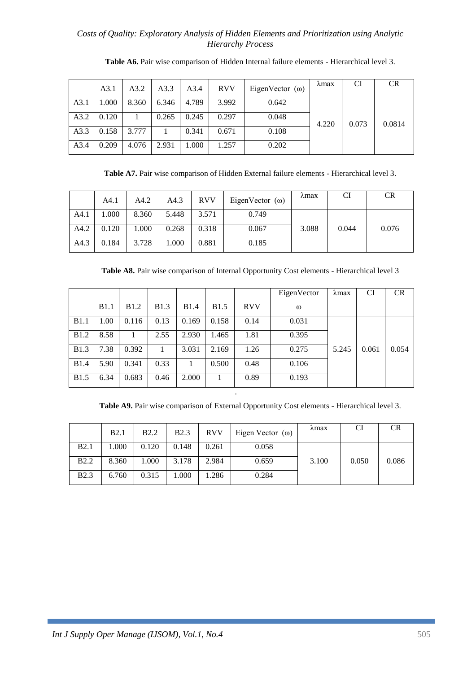|      | A3.1  | A3.2  | A3.3  | A3.4  | <b>RVV</b> | EigenVector $(\omega)$ | ∧max  | CI    | <b>CR</b> |
|------|-------|-------|-------|-------|------------|------------------------|-------|-------|-----------|
| A3.1 | 1.000 | 8.360 | 6.346 | 4.789 | 3.992      | 0.642                  |       | 0.073 | 0.0814    |
| A3.2 | 0.120 |       | 0.265 | 0.245 | 0.297      | 0.048                  | 4.220 |       |           |
| A3.3 | 0.158 | 3.777 |       | 0.341 | 0.671      | 0.108                  |       |       |           |
| A3.4 | 0.209 | 4.076 | 2.931 | 1.000 | 1.257      | 0.202                  |       |       |           |

**Table A6.** Pair wise comparison of Hidden Internal failure elements - Hierarchical level 3.

**Table A7.** Pair wise comparison of Hidden External failure elements - Hierarchical level 3.

|      | A4.1  | A4.2  | A4.3  | <b>RVV</b> | EigenVector $(\omega)$ | $\lambda$ max | CI    | CR    |
|------|-------|-------|-------|------------|------------------------|---------------|-------|-------|
| A4.1 | 1.000 | 8.360 | 5.448 | 3.571      | 0.749                  |               |       |       |
| A4.2 | 0.120 | 1.000 | 0.268 | 0.318      | 0.067                  | 3.088         | 0.044 | 0.076 |
| A4.3 | 0.184 | 3.728 | .000  | 0.881      | 0.185                  |               |       |       |

**Table A8.** Pair wise comparison of Internal Opportunity Cost elements - Hierarchical level 3

|              |              |              |              |              |              | EigenVector |          | $\lambda$ max | <b>CI</b> | <b>CR</b> |
|--------------|--------------|--------------|--------------|--------------|--------------|-------------|----------|---------------|-----------|-----------|
|              | <b>B</b> 1.1 | <b>B</b> 1.2 | <b>B</b> 1.3 | <b>B</b> 1.4 | <b>B</b> 1.5 | <b>RVV</b>  | $\omega$ |               |           |           |
| <b>B1.1</b>  | 1.00         | 0.116        | 0.13         | 0.169        | 0.158        | 0.14        | 0.031    |               |           |           |
| <b>B</b> 1.2 | 8.58         |              | 2.55         | 2.930        | 1.465        | 1.81        | 0.395    |               | 0.061     | 0.054     |
| <b>B</b> 1.3 | 7.38         | 0.392        | 1            | 3.031        | 2.169        | 1.26        | 0.275    | 5.245         |           |           |
| <b>B</b> 1.4 | 5.90         | 0.341        | 0.33         |              | 0.500        | 0.48        | 0.106    |               |           |           |
| <b>B</b> 1.5 | 6.34         | 0.683        | 0.46         | 2.000        |              | 0.89        | 0.193    |               |           |           |
|              |              |              |              |              |              |             |          |               |           |           |

**Table A9.** Pair wise comparison of External Opportunity Cost elements - Hierarchical level 3.

|             | <b>B2.1</b> | <b>B2.2</b> | <b>B2.3</b> | <b>RVV</b> | Eigen Vector $(\omega)$ | $\lambda$ max | CI    | <b>CR</b> |  |
|-------------|-------------|-------------|-------------|------------|-------------------------|---------------|-------|-----------|--|
| <b>B2.1</b> | 1.000       | 0.120       | 0.148       | 0.261      | 0.058                   |               |       |           |  |
| <b>B2.2</b> | 8.360       | 1.000       | 3.178       | 2.984      | 0.659                   | 3.100         | 0.050 | 0.086     |  |
| <b>B2.3</b> | 6.760       | 0.315       | 1.000       | .286       | 0.284                   |               |       |           |  |